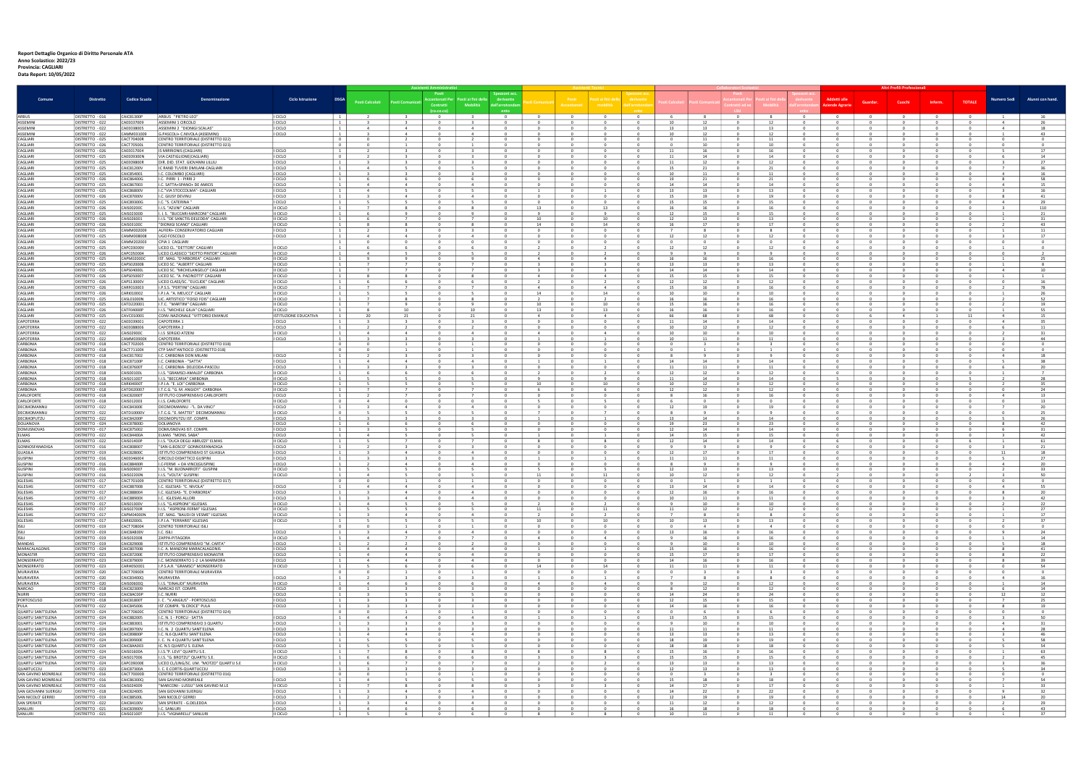## Report Dettaglio Organico di Diritto Personale ATA Anno Scolastico: 2022/23 Provincia: CAGLIARI

Data Report: 10/05/2022

|                                            | <b>Distretto</b>                   |                                 |                                                                            |                              |                                                                      |                                                              | <b>Assistenti Amministrativ</b>           |                                  |                              |                                |                                            |                                |                          |                      |                |                                |                |                                  | <b>Altri Profili Professional</b>                  |                          |                              |                                                                                     |                                  |                  |
|--------------------------------------------|------------------------------------|---------------------------------|----------------------------------------------------------------------------|------------------------------|----------------------------------------------------------------------|--------------------------------------------------------------|-------------------------------------------|----------------------------------|------------------------------|--------------------------------|--------------------------------------------|--------------------------------|--------------------------|----------------------|----------------|--------------------------------|----------------|----------------------------------|----------------------------------------------------|--------------------------|------------------------------|-------------------------------------------------------------------------------------|----------------------------------|------------------|
| Comune                                     |                                    | <b>Codice Scuola</b>            | Denominazione                                                              | <b>Ciclo Istruzione</b>      | <b>DSGA</b>                                                          |                                                              | Posti<br>cantonati Per                    | Posti ai fini della              | Spezzoni a<br>derivante      |                                |                                            | sti ai f                       |                          |                      |                |                                |                |                                  | Addetti all                                        |                          |                              |                                                                                     | <b>Numero Sedi</b>               | Alunni con hand. |
|                                            |                                    |                                 |                                                                            |                              |                                                                      | Posti Calcolati<br><b>Posti Comunicati</b>                   | Contratti                                 | <b>Mobilità</b>                  | dall'arrotc                  |                                | Accantons                                  |                                | ll'arrotor               |                      |                |                                |                |                                  | ziende Agrarie                                     | Guardar.                 | Cuoch                        | <b>TOTALE</b><br>Inferm                                                             |                                  |                  |
| <b>ARBUS</b>                               | DISTRETTO - 016                    | CAIC81300P                      | ARBUS "PIETRO LEO"                                                         | I CICLO                      | $\mathbf{1}$                                                         |                                                              |                                           |                                  |                              | $^{\circ}$                     | $\overline{0}$                             | $\overline{0}$                 | $^{\circ}$               |                      | 8              | $\mathbf{0}$                   | 8              |                                  | $\mathbf{0}$                                       |                          |                              | $\mathbf{0}$                                                                        |                                  |                  |
| ASSEMINI                                   | ISTRETTO - 022                     | AEE037009                       | ASSEMINI 1 CIRCOLO                                                         | I CICLO                      |                                                                      |                                                              |                                           |                                  |                              |                                |                                            |                                |                          |                      | 12             |                                |                |                                  |                                                    |                          |                              |                                                                                     |                                  |                  |
| ASSEMINI                                   | DISTRETTO - 022                    | CAEE038005                      | ASSEMINI 2 "DIONIGI SCALAS'                                                | I CICLO                      | $\mathbf{1}$                                                         | 4                                                            | - 0                                       | -4                               |                              | $^{\circ}$                     | 0                                          | $^{\circ}$                     |                          | - 13                 | 13             |                                | 13             |                                  | 0                                                  |                          |                              | $^{\circ}$                                                                          | 4                                | 18               |
| <b>ASSEMIN</b><br>CAGLIARI                 | DISTRETTO - 022<br>DISTRETTO - 025 | CAMM031009<br>CACT70400R        | G.PASCOLI+ C.NIVOLA (ASSEMINI)<br>CENTRO TERRITORIALE (DISTRETTO 02)       | I CICLO                      | $\overline{1}$<br>$\overline{\phantom{0}}$                           | Δ<br>$^{\circ}$                                              | - 0                                       | $\sim$ 4                         |                              | $^{\circ}$                     |                                            | $^{\circ}$                     |                          | 10<br>$\Omega$       | 12<br>11       |                                | -12<br>11      | $\Omega$                         | 0<br>$\overline{\mathbf{0}}$                       |                          | $^{\circ}$                   | $^{\circ}$<br>$^{\circ}$                                                            |                                  | 43               |
| CAGLIARI                                   | DISTRETTO - 026                    | <b>CACT70500L</b>               | CENTRO TERRITORIALE (DISTRETTO 023                                         |                              | $\begin{array}{\begin{array}{\small \textbf{0} \end{array}}$         | $\Omega$                                                     | $\Omega$                                  |                                  | $\mathsf{n}$                 | $^{\circ}$                     | $\Omega$                                   | $\circ$                        |                          | $\Omega$             | 10             | $\sqrt{2}$                     | 10             | $\Omega$                         | $\mathbf{0}$                                       |                          | $^{\circ}$                   | $\Omega$<br>$^{\circ}$                                                              | $\Omega$                         |                  |
| CAGLIARI                                   | DISTRETTO - 026                    | CAEE017004                      | IS MIRRIONIS (CAGLIARI)                                                    | I CICLO                      | $\overline{1}$                                                       |                                                              |                                           |                                  |                              | $^{\circ}$                     |                                            | $^{\circ}$                     |                          | 11                   | 16             | $\mathbf{0}$                   | 16             | $\circ$                          | $\overline{0}$                                     |                          | $\mathbf{0}$                 | $\mathbf{0}$                                                                        |                                  | 17               |
| CAGLIARI<br>CAGLIARI                       | ISTRETTO - 025<br>DISTRETTO - 025  | AEE09300N<br>CAEE09800R         | VIA CASTIGLIONE(CAGLIARI<br>DIR, DID, STAT, GIOVANNI LILLIL                | I CICLO<br>I CICLO           | $\overline{0}$<br>$\mathbf{1}$                                       |                                                              |                                           |                                  |                              |                                |                                            | $\Omega$                       |                          | 11                   | 14<br>12       |                                | 12             |                                  | $\Omega$                                           |                          |                              |                                                                                     |                                  | 14<br>27         |
| CAGLIARI                                   | DISTRETTO - 025                    | CAIC81200V                      | C RAND TUVERI DMILANI-CAGLIARI                                             | I CICLO                      | $\mathbf{1}$                                                         |                                                              |                                           |                                  |                              |                                |                                            |                                |                          | -15                  | 21             |                                |                |                                  |                                                    |                          |                              |                                                                                     |                                  |                  |
| CAGLIARI<br>CAGLIARI                       | DISTRETTO - 025                    | CAIC854001                      | C. COLOMBO (CAGLIARI)                                                      | I CICLO                      | $\overline{1}$<br>$\overline{1}$                                     |                                                              |                                           | -6                               |                              | <sup>n</sup><br>$\Omega$       |                                            | $\Omega$                       |                          | 10                   | 11<br>21       |                                | - 21           |                                  |                                                    |                          | $\Omega$                     |                                                                                     | $\mathbf{R}$                     | 16<br>58         |
| CAGLIARI                                   | DISTRETTO - 026<br>DISTRETTO - 025 | CAIC86400G<br>CAIC867003        | C. PIRRI 1 - PIRRI 2<br>. SATTA+SPANO+ DE AMICIS                           | I CICLO<br>I CICLO           | $\mathbf{1}$                                                         | $\overline{4}$                                               |                                           | $\overline{4}$                   |                              | $\Omega$                       |                                            | $\Omega$                       |                          | 19<br>14             | 14             | $\Omega$                       | 14             | $\Omega$                         |                                                    |                          | $\Omega$                     |                                                                                     |                                  | 15               |
| CAGLIARI                                   | DISTRETTO - 025                    | CAIC86800V                      | C."VIA STOCCOLMA"- CAGLIARI                                                | <b>CICLO</b>                 | $\mathbf{1}$                                                         | $\overline{4}$                                               |                                           |                                  |                              |                                |                                            |                                |                          | 13                   | 13             | $\Omega$                       | 13             | $\Omega$                         | $^{\circ}$                                         |                          | $\Omega$                     | $\mathbf 0$                                                                         |                                  | 16               |
| CAGLIARI<br>CAGLIARI                       | DISTRETTO - 026                    | <b>CAIC87000V</b><br>CAIC89300G | .C. GIUSY DEVINU<br>I.C. "S. CATERINA"                                     | I CICLO                      | $\mathbf{1}$                                                         |                                                              | - 0                                       | 4                                |                              | $^{\circ}$                     | - 0                                        | $^{\circ}$                     |                          | 15                   | 19             |                                | 19             |                                  | 0                                                  |                          |                              | $^{\circ}$                                                                          |                                  | 41               |
| CAGI IARI                                  | DISTRETTO - 025<br>DISTRETTO - 026 | CAIS00200C                      | <b>I.I.S. "AZUNI" CAGUARI</b>                                              | I CICLO<br>II CICLO          | $\overline{1}$<br>$\begin{array}{ccc} \end{array}$                   | 8                                                            | - 0                                       | - 8                              |                              | 13                             | $\mathbf{0}$                               | 13                             | - 0                      | - 15<br>16           | 15<br>16       | $\Omega$                       | -15<br>16      | - 0                              | $^{\circ}$                                         |                          | - 0                          | - 0<br>$^{\circ}$                                                                   |                                  | 29<br>110        |
| CAGLIARI                                   | DISTRETTO - 025                    | CAIS02300D                      | I. I. S. "BUCCARI-MARCONI" CAGLIARI                                        | II CICLO                     | $\begin{array}{ccc} \end{array}$                                     | ٩                                                            | $\Omega$                                  | 9                                |                              | -9                             |                                            | 9                              |                          | 12                   | 15             |                                | -15            | $\Omega$                         | $\mathbf{0}$                                       |                          | $\Omega$                     | $\Omega$                                                                            |                                  | 21               |
| CAGLIARI<br>CAGLIARI                       | DISTRETTO - 026<br>DISTRETTO - 026 | CAIS026001<br>CAIS03100C        | I.I.S. "DE SANCTIS-DELEDDA" CAGLIARI<br>"DIONIGI SCANO" CAGLIARI           | II CICLO<br>II CICLO         | $\begin{array}{cc} \end{array}$<br>$\overline{1}$                    |                                                              |                                           | 7                                |                              | 10<br>14                       |                                            | 10<br>14                       |                          | 12<br>16             | 13<br>17       | $\Omega$                       | 13<br>17       | $\Omega$<br>$\Omega$             |                                                    |                          |                              | $\Omega$                                                                            |                                  | 31<br>43         |
| CAGLIARI                                   | DISTRETTO - 025                    | CAMM002009                      | ALFIERI+ CONSERVATORIO CAGLIARI                                            | I CICLO                      | $\overline{1}$                                                       |                                                              |                                           |                                  |                              |                                |                                            |                                |                          |                      |                |                                |                |                                  |                                                    |                          |                              |                                                                                     |                                  | 11               |
| CAGLIARI<br>CAGI IARI                      | DISTRETTO - 025                    | CAMM008008                      | UGO FOSCOLO                                                                | I CICLO                      | $\overline{1}$                                                       |                                                              |                                           |                                  |                              |                                |                                            |                                |                          |                      | 12             | $\sqrt{2}$                     |                | $\sqrt{2}$                       |                                                    |                          |                              |                                                                                     |                                  |                  |
| CAGLIARI                                   | DISTRETTO - 026<br>DISTRETTO - 025 | CAMM202003<br>CAPC03000V        | CPIA 1 CAGLIARI<br>LICEO CL. "DETTORI" CAGLIARI                            | II CICLO                     | $\begin{array}{ccc} \end{array}$<br>$\overline{1}$                   | n<br>n                                                       | - 0                                       | $\Omega$                         | n                            | $\Omega$                       | n                                          | $\Omega$                       | റ                        | - 0<br>12            | $\Omega$<br>12 |                                | $\Omega$<br>12 |                                  | $\Omega$                                           |                          | $\Omega$                     | $\Omega$<br>$\Omega$                                                                | $\Omega$                         |                  |
| CAGLIARI                                   | DISTRETTO - 026                    | CAPC050004                      | LICEO CLASSICO "SIOTTO PINTOR" CAGLIARI                                    | I CICLO                      | $\overline{1}$                                                       |                                                              |                                           |                                  |                              |                                |                                            |                                |                          |                      |                | $\sqrt{2}$                     |                | $\sqrt{2}$                       |                                                    |                          |                              | $\Omega$                                                                            |                                  |                  |
| CAGLIARI<br>CAGLIARI                       | DISTRETTO - 025<br>DISTRETTO - 025 | CAPM02000C<br>CAPS02000B        | IST. MAG. "D'ARBOREA" CAGLIARI<br>LICEO SC. "ALBERTI" CAGLIARI             | II CICLO<br>II CICLO         | <sup>1</sup><br>$\mathbf{1}$                                         |                                                              |                                           | 9                                |                              | $\overline{a}$                 |                                            | $\overline{4}$                 |                          | 16<br>- 13           | 16             |                                | 16<br>13       |                                  |                                                    |                          |                              | $\mathbf 0$<br>$^{\circ}$                                                           |                                  | 25               |
| CAGLIARI                                   | DISTRETTO - 025                    | APS04000                        | LICEO SC. "MICHELANGELO" CAGLIARI                                          | II CICLO                     | $\mathbf{1}$                                                         |                                                              |                                           |                                  |                              |                                |                                            |                                |                          | 14                   | 13<br>14       |                                | -14            |                                  | $^{\circ}$                                         |                          |                              |                                                                                     |                                  | 10               |
| CAGI IARI                                  | DISTRETTO - 026                    | CAPS050007                      | LICEO SC. "A. PACINOTTI" CAGLIARI                                          | II CICLO                     | $\mathbf{1}$                                                         | - 8<br>-8                                                    | - 0                                       | 8                                | 0                            | $\overline{4}$                 | $^{\circ}$                                 | $\overline{4}$                 | - 0                      | - 15                 | 15             | - 0                            | 15             | $\Omega$                         | $^{\circ}$                                         | - 0                      | $^{\circ}$                   | $^{\circ}$<br>- 0                                                                   | $\overline{1}$                   |                  |
| CAGLIARI<br>CAGLIARI                       | DISTRETTO - 026<br>DISTRETTO - 026 | CAPS13000V<br>CARF010003        | LICEO CLASS/SC. "EUCLIDE" CAGLIARI<br>I.P.S.S. "PERTINI" CAGLIARI          | II CICLO<br>II CICLO         | $\mathbf{1}$<br>$\begin{array}{ccc} \end{array}$                     | $\overline{7}$<br>$\overline{7}$                             | $\Omega$                                  | -6<br>$\overline{7}$             | $\Omega$                     | $\overline{4}$                 | $\overline{0}$                             | $\overline{4}$                 | $\circ$                  | 12<br>15             | 12<br>16       | $\circ$                        | 12<br>16       | $\Omega$<br>$\overline{0}$       | $\mathbf{0}$<br>$\overline{\mathbf{0}}$            | $\overline{0}$           | $^{\circ}$<br>$^{\circ}$     | $^{\circ}$<br>$\overline{0}$<br>$\overline{\mathbf{0}}$                             | $\overline{2}$                   | 16<br>78         |
| CAGLIARI                                   | DISTRETTO - 026                    | CARI010002                      | I.P.I.A. "A. MEUCCI" CAGLIARI                                              | II CICLO                     | $\overline{1}$                                                       |                                                              |                                           | -5                               |                              | 14                             | $\Omega$                                   | 14                             |                          | 10                   | 10             | $\Omega$                       | 10             | $\Omega$                         | $\overline{0}$                                     |                          | $\overline{0}$               | $\mathbf{0}$                                                                        |                                  | 26               |
| CAGLIARI                                   | DISTRETTO - 025                    | CASL01000N                      | LIC. ARTISTICO "FOISO FOIS" CAGLIARI                                       | II CICLO                     | $\begin{array}{ccc} \end{array}$                                     |                                                              |                                           |                                  |                              |                                |                                            |                                |                          | -16                  | 16             |                                | 16             |                                  |                                                    |                          |                              |                                                                                     |                                  | 52               |
| CAGLIARI<br>CAGI IARI                      | ISTRETTO - 025<br>DISTRETTO - 026  | ATD220001<br>CATF04000P         | I.T.C. "MARTINI" CAGLIARI<br>I.I.S. "MICHELE GIUA" CAGLIARI                | I CICLO<br>ILCICLO.          | $\mathbf{1}$<br>$\overline{1}$                                       | 10<br>-8                                                     | - 0                                       | 10                               |                              | 10 <sup>1</sup><br>-13         | n                                          | 10 <sup>1</sup><br>13          | $\Omega$                 | 15<br>16             | 16<br>16       | $\Omega$                       | 16<br>16       | $\sqrt{ }$                       | $\Omega$                                           |                          | $\Omega$                     | $\Omega$                                                                            |                                  | 19<br>- 55       |
| CAGLIARI                                   | ISTRETTO - 025                     | AVC010001                       | CONV.NAZIONALE "VITTORIO EMANUI                                            | <b>ISTITUZIONE EDUCATIVA</b> | $\overline{1}$                                                       | 20                                                           |                                           | 71                               |                              |                                |                                            |                                |                          | 66                   | 68             |                                | 68             |                                  |                                                    |                          |                              | 11                                                                                  |                                  | 15               |
| CAPOTERRA<br><b>APOTERRA</b>               | DISTRETTO - 022                    | CAEE039001                      | CAPOTERRA 1                                                                | I CICLO                      | $\mathbf{1}$                                                         | $\mathbf{R}$                                                 | $\mathsf{n}$                              | $\mathbf{R}$                     | $\mathsf{n}$                 | $\Omega$                       | $\Omega$                                   | $\Omega$                       | $\Omega$                 | 11                   | 14             | $\sqrt{2}$                     | 14<br>12       | $\Omega$                         | $\Omega$                                           | $\sqrt{2}$               | $\Omega$                     | $\Omega$                                                                            | $\Delta$                         | 35<br>11         |
| <b>APOTERRA</b>                            | ISTRETTO - 022<br>DISTRETTO - 022  | AEE088006<br>AIS02900C          | CAPOTERRA 2<br>.I.S SERGIO ATZENI                                          | <b>CICLO</b><br>II CICLO     | $\mathbf{1}$                                                         | 4                                                            |                                           | $\overline{a}$                   |                              |                                |                                            | $\overline{a}$                 |                          | 10<br>10             | 12<br>10       |                                | 10             |                                  |                                                    |                          |                              |                                                                                     |                                  |                  |
| <b>APOTERRA</b>                            | DISTRETTO - 022                    | AMM03900X                       | CAPOTERRA                                                                  | <b>CICLO</b>                 | $\mathbf{1}$                                                         |                                                              |                                           |                                  |                              |                                |                                            |                                |                          | 10                   | 11             |                                | 11             |                                  |                                                    |                          |                              |                                                                                     |                                  | 44               |
| <b><i>CARBONIA</i></b><br>CARBONIA         | DISTRETTO - 018                    | CACT702005                      | CENTRO TERRITORIALE (DISTRETTO 018)                                        |                              | $\overline{\mathbf{0}}$                                              |                                                              | - 0                                       |                                  |                              | $^{\circ}$                     |                                            |                                |                          |                      |                |                                |                | - 0                              | - 0                                                |                          | - 0                          | - 0                                                                                 |                                  |                  |
| <b><i>CARBONIA</i></b>                     | DISTRETTO - 018<br>DISTRETTO - 018 | CACT71100X<br>CAIC817002        | CTP SANT'ANTIOCO (DISTRETTO 018<br>I.C. CARBONIA DON MILANI                | I CICLO                      | $\overline{\phantom{0}}$<br>$\begin{array}{cc} \end{array}$          |                                                              | $\Omega$                                  | $\overline{\mathbf{3}}$          | $\mathsf{n}$                 | $^{\circ}$                     | $\Omega$                                   | $\circ$                        | $\Omega$                 | -8                   | 9              | $\Omega$                       | $\mathbf{Q}$   | $\Omega$                         | $^{\circ}$                                         | $\sqrt{2}$               | $^{\circ}$                   | $\Omega$<br>$^{\circ}$                                                              | $\mathbf{A}$                     | 18               |
| CARBONIA                                   | DISTRETTO - 018                    | <b>CAIC87100P</b>               | C. CARBONIA - "SATTA"                                                      | I CICLO                      | $\overline{1}$                                                       |                                                              |                                           |                                  |                              |                                |                                            |                                |                          | 14                   | 14             |                                | 14             |                                  |                                                    |                          |                              |                                                                                     |                                  | 38               |
| CARBONIA<br>CARBONIA                       | DISTRETTO - 018<br>DISTRETTO - 018 | <b>CAIC87600T</b><br>CAIS00100L | .C. CARBONIA- DELEDDA-PASCOLI<br>I.I.S. "GRAMSCI-AMALDI" CARBONIA          | I CICLO<br>II CICLO          | $\overline{1}$<br>$\overline{1}$                                     |                                                              |                                           |                                  |                              |                                |                                            |                                |                          | 12                   | 11<br>12       |                                | 12             |                                  |                                                    |                          |                              |                                                                                     |                                  |                  |
| <b><i>CARBONIA</i></b>                     | DISTRETTO - 018                    | CAIS011007                      | I.I.S. "BECCARIA" CARBONIA                                                 | II CICLO                     | $\overline{1}$                                                       |                                                              |                                           |                                  |                              |                                |                                            |                                |                          |                      | 14             |                                | -14            |                                  |                                                    |                          |                              |                                                                                     |                                  | 28               |
| CARBONIA                                   | DISTRETTO - 018                    | CARI04000T                      | I.P.I.A. "E. LOI" CARBONIA                                                 | II CICLO                     | $\overline{1}$                                                       | $\overline{7}$<br>$\overline{ }$                             | $\sqrt{ }$                                | $7^{\circ}$                      |                              | 10<br>-6                       |                                            | 10 <sup>10</sup>               |                          | 10                   | 12             | $\sqrt{2}$                     | -12            | $\Omega$                         |                                                    | $\sqrt{ }$               | $\sqrt{2}$                   | $\sqrt{2}$                                                                          | $\sqrt{2}$                       | 35               |
| CARBONIA<br><b>ARLOFORTE</b>               | DISTRETTO - 018<br>DISTRETTO - 018 | CATD020007<br>CAIC82000T        | I.T.C.G. "G. M. ANGIOY" CARBONIA<br>STITUTO COMPRENSIVO CARLOFORTE         | II CICLO<br>I CICLO          | $\cdots$                                                             |                                                              |                                           |                                  | $\mathsf{n}$                 |                                |                                            | -6                             | $\Omega$                 | 12                   | 12<br>16       |                                | 12<br>16       |                                  | $\sqrt{ }$                                         |                          |                              |                                                                                     |                                  | 24<br>13         |
| <b>ARLOFORTE</b>                           | DISTRETTO - 018                    | CAIS012003                      | I.I.S. CARLOFORTE                                                          | II CICLO                     | $\overline{0}$                                                       | $\overline{4}$                                               |                                           | $^{\circ}$                       | $\Omega$                     |                                |                                            | $5^{\circ}$                    |                          | -6                   | $\overline{0}$ | $\Omega$                       | $\Omega$       | $\Omega$                         | $\overline{0}$                                     | $\Omega$                 | $\Omega$                     | $\mathbf{0}$                                                                        | $\Omega$                         | 13               |
| ECIMOMANNU<br><b>FCIMOMANNI</b>            | DISTRETTO - 022<br>JISTRETTO - 022 | CAIC84300E<br>ATD10000          | DECIMOMANNU -"L. DA VINCI"<br>I.T.C.G. "E. MATTEI" DECIMOMANNU             | I CICLO<br>II CICLO          | $\mathbf{1}$<br>$\overline{\mathbf{0}}$                              |                                                              |                                           | -4                               |                              |                                |                                            |                                |                          | 12                   | 19<br>-9       |                                | 19             |                                  |                                                    |                          |                              |                                                                                     |                                  | 20               |
| DECIMOPUTZL                                | DISTRETTO - 022                    | CAIC84200P                      | DECIMOPUTZU IST. COMPR.                                                    | I CICLO                      | $\mathbf{1}$                                                         |                                                              |                                           |                                  |                              |                                |                                            |                                |                          | 13                   | 14             |                                | 14             |                                  | 0                                                  |                          | $^{\circ}$                   | $^{\circ}$                                                                          |                                  | - 25<br>26       |
| DOLIANOVA                                  | DISTRETTO - 024                    | <b>CAIC87800D</b>               | DOLIANOVA                                                                  | I CICLO                      | $\begin{array}{ccc} \end{array}$                                     | 6<br>- 6                                                     | $\mathbf{0}$                              | 6                                | $\Omega$                     | $^{\circ}$                     | $\overline{0}$                             | $\circ$                        | $\Omega$                 | 19                   | 23             | $\Omega$                       | 23             | $\overline{0}$                   | $\overline{0}$                                     | $\Omega$                 | $^{\circ}$                   | $\overline{0}$<br>$\overline{\mathbf{0}}$                                           | 8                                | 42               |
| DOMUSNOVAS<br>LMAS                         | DISTRETTO - 017<br>DISTRETTO - 022 | CAIC875002<br>CAIC84400A        | DOMUSNOVAS IST. COMPR.<br>ELMAS "MONS. SABA"                               | I CICLO<br>I CICLO           | $\mathbf{1}$<br>$\begin{array}{ccc} \end{array}$                     | $\overline{a}$                                               |                                           | - 5                              |                              |                                | $\Omega$                                   |                                |                          | 12<br>14             | 14<br>15       | $\Omega$                       | 14<br>15       | $\Omega$                         | $\mathbf{0}$<br>$\overline{0}$                     | $\Omega$                 | $\mathbf{0}$                 | $\mathbf{0}$<br>$\overline{0}$                                                      | $\overline{3}$                   | 31<br>42         |
| LMAS                                       | ISTRETTO - 022                     | AIS01400P                       | .I.S. "DUCA DEGLI ABRUZZI" ELMAS                                           | II CICLO                     | $\mathbf{1}$                                                         |                                                              |                                           |                                  |                              |                                |                                            |                                |                          | 12                   | 14             |                                | 14             |                                  |                                                    |                          |                              |                                                                                     |                                  | 61               |
| <b>GONNOSFANADIGA</b>                      | ISTRETTO - 016                     | AIC808007                       | "SAN G.BOSCO" GONNOSFANADIGA                                               | I CICLO                      | $\overline{1}$                                                       |                                                              |                                           |                                  |                              |                                |                                            |                                |                          |                      | $\mathbf{q}$   |                                |                |                                  |                                                    |                          |                              |                                                                                     |                                  |                  |
| GUASILA<br>GUSPINI                         | DISTRETTO - 019<br>DISTRETTO - 016 | AIC82800C<br>CAEE046004         | ISTITUTO COMPRENSIVO ST GUASILA<br>CIRCOLO DIDATTICO GUSPINI               | I CICLO<br>I CICLO           | $\mathbf{1}$<br>$\overline{1}$                                       |                                                              |                                           | $\Delta$                         |                              |                                |                                            |                                |                          | 12                   | 17<br>11       |                                | 17<br>11       |                                  |                                                    |                          | $\Omega$<br>$\sqrt{2}$       |                                                                                     | 11                               | 18<br>27         |
| GUSPINI                                    | DISTRETTO - 016                    | CAIC88400R                      | .C-FERMI + DA VINCI(GUSPINI)                                               | I CICLO                      | <sup>1</sup>                                                         |                                                              |                                           | $\Delta$                         |                              | <sup>n</sup>                   |                                            |                                |                          |                      |                |                                |                |                                  |                                                    |                          |                              |                                                                                     |                                  | 20               |
| GUSPINI<br>GUSPINI                         | DISTRETTO - 016<br>DISTRETTO - 016 | CAIS009007<br>AIS02200N         | .I.S. "M. BUONARROTI" GUSPINI                                              | II CICLO<br>II CICLO         | $\vert$ 1                                                            |                                                              |                                           |                                  |                              |                                |                                            |                                |                          | 12                   | 13             | $\sqrt{2}$                     | 13<br>12       | $\Omega$                         | $\Omega$                                           |                          | $\Omega$                     | $\Omega$                                                                            |                                  | 33               |
| IGLESIAS                                   | DISTRETTO - 017                    | ACT701009                       | I.I.S. "VOLTA" GUSPINI<br>CENTRO TERRITORIALE (DISTRETTO 017)              |                              | <sup>1</sup><br>$\overline{\mathbf{0}}$                              |                                                              |                                           |                                  |                              | 11<br>$^{\circ}$               |                                            | 11                             |                          | 10<br>$\Omega$       | 12             |                                |                |                                  | $^{\circ}$                                         |                          |                              |                                                                                     |                                  | 50               |
| <b>IGLESIAS</b>                            | DISTRETTO - 017                    | CAIC887008                      | .C. IGLESIAS- "C. NIVOLA"                                                  | I CICLO                      | $\overline{1}$                                                       |                                                              | - 0                                       | 4                                |                              | $^{\circ}$                     |                                            |                                |                          | 13                   | 14             |                                | 14             |                                  | $^{\circ}$                                         |                          | $\Omega$                     | $^{\circ}$                                                                          |                                  | -55              |
| IGLESIAS<br><b>IGLESIAS</b>                | DISTRETTO - 017<br>DISTRETTO - 017 | CAIC888004<br>CAIC88900X        | I.C. IGLESIAS- "E. D'ARBOREA<br>I.C. IGLESIAS ALLORI                       | I CICLO<br>I CICLO           | <sup>1</sup><br>$\mathbf{1}$                                         | $\overline{4}$                                               |                                           | $\overline{4}$                   |                              | $^{\circ}$                     | $\overline{0}$                             | $\mathbf 0$                    | $^{\circ}$               | 12<br>10             | 16<br>11       | $^{\circ}$                     | 16<br>11       | $\circ$                          | $\mathbf{0}$                                       |                          | $^{\circ}$                   | $^{\circ}$                                                                          |                                  | 42               |
| <b>IGLESIAS</b>                            | DISTRETTO - 017                    | CAIS01300V                      | I.I.S. "G.ASPRONI" IGLESIAS                                                | II CICLO                     |                                                                      | $\overline{4}$                                               |                                           | -5                               |                              |                                |                                            |                                | $\Omega$                 | $\mathbf{Q}$         | 10             | $\sqrt{2}$                     | 10             | $\Omega$                         | $\Omega$                                           |                          | $\mathbf{0}$                 | $\Omega$                                                                            | $\overline{z}$                   | 22               |
| <b>IGLESIAS</b>                            | DISTRETTO - 017                    | CAIS02700R                      | I.I.S. "ASPRONI-FERMI" IGLESIAS                                            | II CICLO                     | $\mathbf{1}$                                                         |                                                              |                                           |                                  |                              | 11                             |                                            | 11                             |                          | 11                   | 12             | $\Omega$                       | 12             | $\Omega$                         | $\Omega$                                           |                          | $\Omega$                     |                                                                                     |                                  | 27               |
| <b>IGLESIAS</b><br><b>IGLESIAS</b>         | DISTRETTO - 017<br>DISTRETTO - 017 | CAPM04000N<br>CARI02000L        | IST. MAG. "BAUDI DI VESME" IGLESIAS<br>I.P.I.A. "FERRARIS" IGLESIAS        | II CICLO<br>II CICLO         | $\begin{array}{ccc} \end{array}$<br>$\mathbf{1}$                     | $\overline{4}$                                               | $\Omega$                                  | $\overline{4}$                   | - 0                          | 10                             | - 0                                        | 10                             | $\Omega$                 | 10                   | 8<br>13        | $\Omega$<br>$\sqrt{2}$         | -8<br>13       | $\Omega$<br>$\sqrt{ }$           | $\Omega$<br>$\Omega$                               |                          | $\Omega$<br>$\Omega$         | $\Omega$<br>$\Omega$                                                                |                                  | 17<br>37         |
| <b>ISILI</b>                               | DISTRETTO - 019                    | CACT708004                      | CENTRO TERRITORIALE ISILI                                                  |                              | $\overline{0}$                                                       |                                                              |                                           |                                  |                              | $\Omega$                       |                                            | $\Omega$                       |                          |                      | $\mathbf{A}$   |                                | $\mathbf{A}$   |                                  |                                                    |                          | $\Omega$                     |                                                                                     | $\sqrt{2}$                       |                  |
| <b>ISILI</b><br><b>ISILI</b>               | DISTRETTO - 019<br>DISTRETTO - 019 | CAIC8AB00V<br>CAIS032008        | .C. ISILI<br>ZAPPA-PITAGORA                                                | I CICLO<br>II CICLO          | $\overline{1}$<br>$\vert$ 1                                          | $\overline{4}$<br>$\overline{7}$<br>$\overline{4}$           | $\mathsf{n}$<br>$\Omega$                  | $\overline{4}$<br>$\overline{7}$ | $\mathsf{n}$<br>$\sqrt{2}$   | $\Omega$<br>$\overline{4}$     | $\Omega$                                   | $^{\circ}$<br>4                | $\Omega$<br>$\Omega$     | 13<br>$\overline{9}$ | 16<br>16       | $\Omega$<br>$\sqrt{2}$         | 16<br>16       | $\Omega$<br>$\sqrt{ }$           | $\Omega$<br>$\Omega$                               | $\sqrt{2}$<br>$\sqrt{2}$ | $\Omega$<br>$\overline{0}$   | $\mathbf{0}$<br>$\overline{0}$                                                      | $\mathbf{q}$<br>$\overline{1}$   | 24<br>14         |
| <b>MANDAS</b>                              | DISTRETTO - 019                    | CAIC829008                      | ISTITUTO COMPRENSIVO "M. CARTA"                                            | I CICLO                      | $\mathbf{1}$                                                         |                                                              |                                           |                                  |                              | $^{\circ}$                     |                                            | $\circ$                        |                          |                      | 10             |                                | 10             | $\Omega$                         | 0                                                  |                          |                              | $^{\circ}$                                                                          |                                  | 18               |
| MARACALAGONIS                              | DISTRETTO - 024                    | <b>CAIC80700B</b>               | I.C. A. MANZONI MARACALAGONIS                                              | I CICLO                      | $\mathbf{1}$                                                         | $\overline{4}$<br>$\overline{a}$                             |                                           | $\overline{4}$                   |                              |                                |                                            |                                |                          | 15                   | 16             |                                | 16             |                                  | $\mathbf{0}$                                       |                          |                              | $\mathbf{0}$                                                                        | 8                                | 41               |
| <b>MONASTIR</b><br><b>MONSFRRATO</b>       | DISTRETTO - 023<br>DISTRETTO - 023 | CAIC87200E<br>CAIC879009        | ISTITUTO COMPRENSIVO MONASTIR<br>I.C. MONSERRATO 1-2 LA MARMORA            | I CICLO<br>I CICLO           | $\mathbf{1}$<br>$\begin{array}{ccc} \end{array}$                     | $\sim$<br>$\overline{a}$<br>$\overline{4}$<br>$\overline{4}$ | $\overline{\mathbf{0}}$<br>$\overline{0}$ | $\overline{4}$<br>$\overline{4}$ | 0<br>$\Omega$                | $\mathbf{0}$<br>$\circ$        | $\overline{\mathbf{0}}$<br>$\overline{0}$  | $\mathbf 0$<br>$\overline{0}$  | $\mathbf{0}$<br>$\Omega$ | <b>15</b><br>14      | 17<br>16       | - 0<br>$\overline{\mathbf{0}}$ | 17<br>16       | $\overline{0}$<br>$\overline{0}$ | $\mathbf{0}$<br>$\overline{0}$                     | - 0                      | $^{\circ}$<br>$\circ$        | $\mathbf 0$<br>$\overline{\mathbf{0}}$<br>$\overline{\mathbf{0}}$<br>$\overline{0}$ | - 8<br>8                         | 22<br>39         |
| <b>MONSERRATO</b>                          | DISTRETTO - 023                    | CARH050001                      | I.P.S.A.R. "GRAMSCI" MONSERRATO                                            | II CICLO                     | $\overline{1}$                                                       | - 5<br>- 6                                                   | $\overline{\mathbf{0}}$                   | 6                                | $\overline{0}$               | 14                             | $\overline{0}$                             | 14                             | $\circ$                  | 11                   | 11             | $\circ$                        | 11             | $\overline{0}$                   | $\mathbf{0}$                                       | $\overline{0}$           | $\mathbf 0$                  | $\mathbf{0}$<br>$\overline{\mathbf{0}}$                                             | $\circ$                          | 54               |
| MURAVERA<br>MURAVERA                       | DISTRETTO - 020                    | CACT70900X                      | CENTRO TERRITORIALE MURAVERA<br>MURAVERA                                   |                              |                                                                      | $\overline{0}$                                               | $\Omega$                                  |                                  |                              | $\overline{0}$                 | $\Omega$                                   | $\overline{0}$                 |                          | $\Omega$             | $\overline{3}$ | $\Omega$<br>$\mathbf{0}$       |                | $\Omega$<br>$\circ$              | $\overline{0}$<br>$\overline{0}$                   |                          | $\mathbf{0}$                 | $\Omega$<br>$\overline{0}$<br>$^{\circ}$                                            | $\overline{0}$<br>$\overline{4}$ | $\overline{0}$   |
| MURAVERA                                   | DISTRETTO - 020<br>DISTRETTO - 020 | CAIC83400Q<br>CAIS00600Q        | I.I.S. "EINAUDI" MURAVERA                                                  | I CICLO<br>II CICLO          | $\mathbf{1}$<br>$\overline{1}$                                       | $\overline{a}$                                               | $\mathbf{0}$                              | $\overline{\mathbf{3}}$<br>- 6   | $^{\circ}$                   | $\mathbf{1}$<br>$\overline{a}$ | $^{\circ}$                                 | $\mathbf{1}$<br>$\overline{a}$ |                          | $\overline{9}$       | 8<br>12        | $\Omega$                       | 8<br>12        |                                  | $\Omega$                                           | $^{\circ}$               | $\circ$<br>$\Omega$          | $\overline{0}$<br>$\Omega$                                                          |                                  | 16<br>14         |
| <b>NARCAO</b>                              | DISTRETTO - 018                    | CAIC823009                      | NARCAO IST. COMPR.                                                         | I CICLO                      | $\overline{0}$                                                       |                                                              | - 0                                       |                                  | 0                            | $\Omega$                       | - 0                                        | $\Omega$                       | - 0                      |                      | 12             | $\sqrt{2}$                     | 12             | $\sqrt{ }$                       | $\Omega$                                           | $\sqrt{2}$               | $\Omega$                     | $\Omega$                                                                            | - 6                              | 14               |
| NURRI                                      | DISTRETTO - 019                    | CAIC8AC00P                      | .C. NURRI<br>. C. "V.ANGIUS" - PORTOSCUSO                                  | I CICLO<br>I CICLO           | $\overline{1}$                                                       | -5<br>$\mathbf{R}$                                           | - 0<br>$\sqrt{2}$                         | - 5<br>$\mathbf{R}$              | $\mathsf{n}$<br>$\mathsf{n}$ | $\Omega$<br>$\Omega$           | $\Omega$<br>$\Omega$                       | $\Omega$<br>$\overline{0}$     | $\Omega$<br>$\Omega$     | 14                   | 24             | $\Omega$<br>$\Omega$           | 24             | $\mathsf{n}$<br>$\Omega$         | $\Omega$<br>$\Omega$                               | $\sqrt{2}$<br>$\sqrt{2}$ | $\Omega$<br>$\Omega$         | $\Omega$<br>$\Omega$                                                                | 12<br>7                          | 12               |
| PORTOSCUSO<br>PULA                         | DISTRETTO - 018<br>DISTRETTO - 022 | <b>CAIC81800T</b><br>CAIC845006 | ST.COMPR. "B.CROCE" PULA                                                   | <b>CICLO</b>                 | $\frac{1}{2}$                                                        |                                                              |                                           |                                  |                              | $\Omega$                       |                                            | $\Omega$                       |                          | 12<br>14             | 15<br>16       | $\sqrt{2}$                     | 15<br>16       | $\sqrt{2}$                       |                                                    |                          | $\Omega$                     | $\Omega$                                                                            |                                  | 25<br>19         |
| QUARTU SANT'ELENA                          | DISTRETTO - 024                    | CACT70600C                      | CENTRO TERRITORIALE (DISTRETTO 024)                                        |                              | $\overline{0}$                                                       | $^{\circ}$                                                   | $\circ$                                   |                                  |                              | $^{\circ}$                     |                                            | $^{\circ}$                     |                          | $\mathbf{0}$         | 6              | $\mathbf{0}$                   | 6              | $\overline{0}$                   | $\overline{0}$                                     | $\circ$                  | $\mathbf{0}$                 | $\mathbf{0}$                                                                        | $\overline{0}$                   | $^{\circ}$       |
| QUARTU SANT'ELENA<br>QUARTU SANT'ELENA     | ISTRETTO - 024<br>DISTRETTO - 024  | AIC882005<br>CAIC883001         | .C. N. 1 - PORCU - SATTA<br>ISTITUTO COMPRENSIVO 3 QUARTU                  | I CICLO<br>I CICLO           | $\mathbf{1}$                                                         | $\overline{a}$<br>4                                          | $^{\circ}$                                | $\overline{4}$<br>3              |                              | $\mathbf{0}$                   | $\overline{\mathbf{0}}$                    | $^{\circ}$                     |                          | 13<br>- 9            | 15<br>10       |                                | 15<br>10       | $^{\circ}$                       | $\overline{\mathbf{0}}$<br>$\overline{\mathbf{0}}$ |                          | $\circ$                      | $\overline{\mathbf{0}}$<br>$^{\circ}$                                               | $\overline{4}$                   | 50<br>31         |
| QUARTU SANT'ELENA                          | DISTRETTO - 024                    | <b>CAIC89700V</b>               | I.C. N. 2 QUARTU SANT'ELENA                                                | I CICTO                      |                                                                      | -3                                                           | $\overline{\mathbf{0}}$                   | 3                                |                              | $\mathbf{0}$                   | $\overline{\mathbf{0}}$                    | $\circ$                        | റ                        | 11                   | 11             | - 0                            | -11            | $\overline{\mathbf{0}}$          | $\mathbf{0}$                                       |                          | $\mathbf{0}$                 | - 0<br>$^{\circ}$                                                                   | $\overline{4}$                   | 28               |
| QUARTU SANT'ELENA                          | DISTRETTO - 024                    | CAIC89800P                      | I.C. N.6 QUARTU SANT'ELENA                                                 | I CICLO                      | $\begin{array}{ccc} \end{array}$                                     | $\overline{4}$<br>$\overline{4}$                             | $\overline{\mathbf{0}}$                   | $\overline{4}$                   | $\Omega$                     | $\mathbf{0}$                   | $\overline{0}$                             | $\mathbf 0$                    | $\circ$                  | 13                   | 13             | $\circ$                        | 13             | $\overline{0}$                   | $\overline{0}$                                     | $\overline{0}$           | $\mathbf{0}$                 | $\overline{\mathbf{0}}$<br>$^{\circ}$                                               | $\overline{\mathbf{3}}$          | 46               |
| QUARTU SANT'ELENA<br>QUARTU SANT'ELENA     | DISTRETTO - 024<br>DISTRETTO - 024 | <b>CAIC89900E</b><br>CAIC8AA003 | I. C. N. 4 QUARTU SANT'ELENA<br>IC. N.5 QUARTU S. ELENA                    | I CICLO<br>I CICLO           | $\begin{array}{ccc} \end{array}$<br>$\begin{array}{ccc} \end{array}$ |                                                              | $\circ$                                   | - 5<br>- 5                       |                              | $^{\circ}$<br>$^{\circ}$       | $\mathbf{0}$                               | $\Omega$<br>$^{\circ}$         |                          | 18<br>18             | 19<br>18       | $\mathbf{0}$                   | 19<br>18       | $\Omega$<br>$\circ$              | $\overline{0}$<br>$\overline{0}$                   | $\circ$                  | $\mathbf{0}$<br>$\mathbf{0}$ | $\mathbf{0}$                                                                        |                                  | 58<br>54         |
| QUARTU SANT'ELENA                          | DISTRETTO - 024                    | CAIS01600A                      | I.I.S."P. LEVI" QUARTU S.E.                                                | II CICLO                     | $\overline{1}$                                                       |                                                              |                                           |                                  |                              |                                |                                            |                                |                          | 15                   | 16             |                                | 16             |                                  |                                                    |                          |                              |                                                                                     |                                  | 63               |
| QUARTU SANT'ELENA<br>QUARTU SANT'ELENA     | DISTRETTO - 024<br>DISTRETTO - 024 | CAIS017006<br><b>CAPC09000E</b> | II.I.S. "G. BROTZU" QUARTU S.E<br>LICEO CL/LING/SC. UM. "MOTZO" QUARTU S.E | II CICLO<br>II CICLO         | $\begin{array}{ccc} \end{array}$<br>$\overline{1}$                   | -6                                                           | - 0                                       | - 6                              |                              |                                | - 0                                        |                                | - 0                      | 15<br>- 13           | 15<br>13       | $\Omega$                       | 15<br>-13      | 0                                | - 0                                                |                          | - 0<br>$\Omega$              | $^{\circ}$                                                                          | $\overline{z}$                   | 45<br>-36        |
| QUARTUCCIU                                 | DISTRETTO - 023                    | CAIC87300A                      | I. C. E.CORTIS-QUARTUCCIU                                                  | I CICLO                      | $\begin{array}{ccc} \end{array}$                                     |                                                              | $\sqrt{2}$                                |                                  | $\mathsf{n}$                 | $\Omega$                       | $\Omega$                                   | $\Omega$                       | $\Omega$                 | 12                   | 13             | $\sqrt{2}$                     | 13             | $\Omega$                         | $\sqrt{ }$                                         | $\sqrt{2}$               | $\Omega$                     | $\Omega$                                                                            | $\sim$                           | 34               |
| SAN GAVINO MONREALE                        | DISTRETTO - 016                    | CACT70000D                      | CENTRO TERRITORIALE (DISTRETTO 016)                                        |                              | $\overline{0}$                                                       | $\Omega$                                                     |                                           |                                  | $\mathsf{n}$                 | $\Omega$                       |                                            | $\sqrt{2}$                     | $\Omega$                 | $\sqrt{2}$           | $\mathbf{R}$   | $\sqrt{2}$                     | $\mathbf{R}$   | $\sqrt{ }$                       | $\sqrt{ }$                                         |                          | $\Omega$                     | $\sqrt{2}$                                                                          | $\sqrt{2}$                       | $\sqrt{2}$       |
| SAN GAVINO MONREALE<br>SAN GAVINO MONREALE | DISTRETTO - 016<br>ISTRETTO - 016  | CAIC86300Q<br>AIS024009         | SAN GAVINO MONREALE<br>"MARCONI - LUSSU" SAN GAVINO M.LE                   | I CICLO<br>I CICLO           | $\mathbf{1}$<br><sup>1</sup>                                         | $\overline{4}$                                               | $\circ$                                   | - 5                              | $\circ$                      | $\mathbf{0}$                   |                                            | $\overline{0}$                 | $^{\circ}$               | 15<br>14             | 18<br>17       | $\overline{0}$                 | 18<br>17       | $\overline{0}$                   | $\mathbf{0}$                                       | $\overline{0}$           | $\mathbf{0}$                 | $\overline{0}$                                                                      | $\overline{7}$                   | 54<br>33         |
| SAN GIOVANNI SUERGIU                       | DISTRETTO - 018                    | CAIC824005                      | <b>SAN GIOVANNI SUERGIU</b>                                                | I CICLO                      | $\mathbf{1}$                                                         | 4                                                            | - 0                                       | -4                               |                              | $^{\circ}$                     | $\mathbf{0}$                               | $^{\circ}$                     |                          | - 14                 | 22             | - 0                            | 22             | $\overline{\mathbf{0}}$          | $\mathbf{0}$                                       |                          | - 0                          | - 0<br>$^{\circ}$                                                                   |                                  | 32               |
| SAN NICOLO' GERREI<br>SAN SPERATE          | DISTRETTO - 019<br>DISTRETTO - 022 | CAIC88500L<br>CAIC84100V        | SAN NICOLO' GERREI<br>SAN SPERATE - G.DELEDDA                              | I CICLO                      | $\overline{1}$<br>$\begin{array}{ccc} \end{array}$                   | $\overline{\mathbf{3}}$<br>$\overline{4}$                    | $\overline{\mathbf{0}}$<br>$\overline{0}$ | 3<br>$\overline{4}$              | $\Omega$                     | $\mathbf{0}$<br>$\mathbf{0}$   | $\overline{\phantom{0}}$<br>$\overline{0}$ | $\mathbf{0}$<br>$\circ$        | $^{\circ}$               | 12<br>11             | 19<br>12       | $\Omega$                       | 19<br>12       | $^{\circ}$<br>$\overline{0}$     | $\overline{\mathbf{0}}$<br>$\mathbf{0}$            | $\Omega$                 | $\mathbf{0}$<br>$\mathbf{0}$ | $^{\circ}$<br>$^{\circ}$<br>$\overline{\mathbf{0}}$<br>$\mathbf 0$                  | 14<br>$\overline{2}$             | 20               |
| SANLURI                                    | DISTRETTO - 021                    | CAIC83900V                      | I.C. SANLURI                                                               | I CICLO<br>I CICLO           | $\begin{array}{cc} \end{array}$                                      | $\overline{4}$<br>6                                          | $\overline{\mathbf{0}}$                   | 6                                | $\mathsf{n}$                 | $^{\circ}$                     | $\overline{0}$                             | $\Omega$                       | $\sqrt{ }$               | 16                   | 18             | $\Omega$                       | 18             | $\Omega$                         | $\mathbf{0}$                                       | $\sqrt{ }$               | $^{\circ}$                   | $\overline{\mathbf{0}}$<br>$^{\circ}$                                               | 6                                | 29<br>43         |
| SANLURI                                    | DISTRETTO - 021                    | CAIS02100T                      | I.I.S. "VIGNARELLI" SANLURI                                                | II CICLO                     | $\begin{array}{cc} \end{array}$                                      | 5<br>6 <sup>1</sup>                                          | $\overline{0}$                            | 6 <sup>6</sup>                   | $\overline{0}$               | 8 <sup>2</sup>                 | $\overline{0}$                             | 8 <sup>2</sup>                 | $\overline{0}$           | 10                   | 11             | $\overline{0}$                 | 11             | $\overline{0}$                   | $\overline{\mathbf{0}}$                            | $\overline{0}$           | $\overline{0}$               | $\overline{0}$<br>$\overline{0}$                                                    | $\mathbf{1}$                     | 37               |